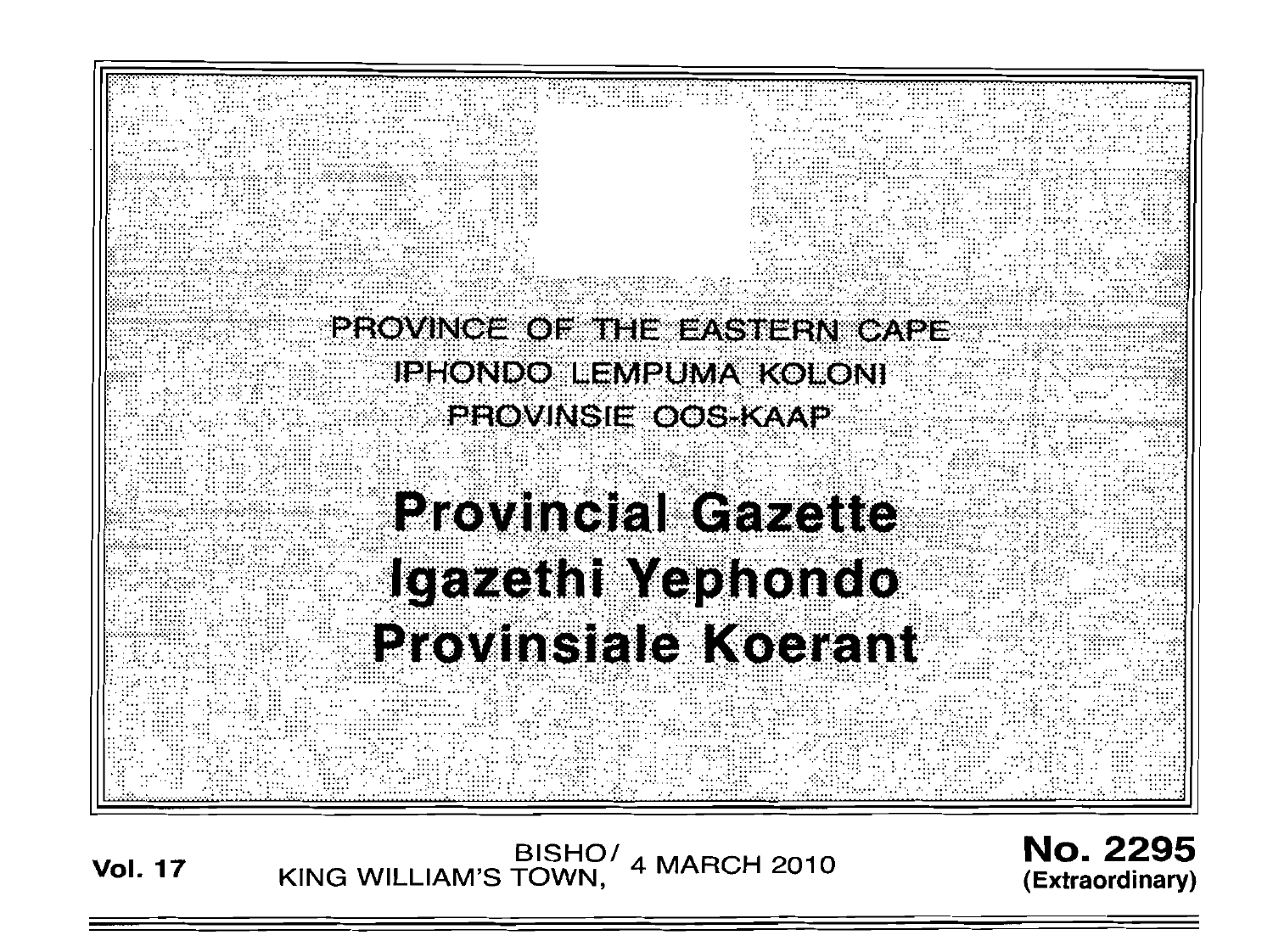PROVINCE OF THE EASTERN CAPE **IPHONDO LEMPUMA KOLONI** PROVINSIE OOS KAAP **Provincial Gazette** Igazethi Yephondo Provinsiale Koerant

**Vol. 17** EISHO<sup>/</sup> 4 MARCH 2010

No. 2295 **(Extraordinary)**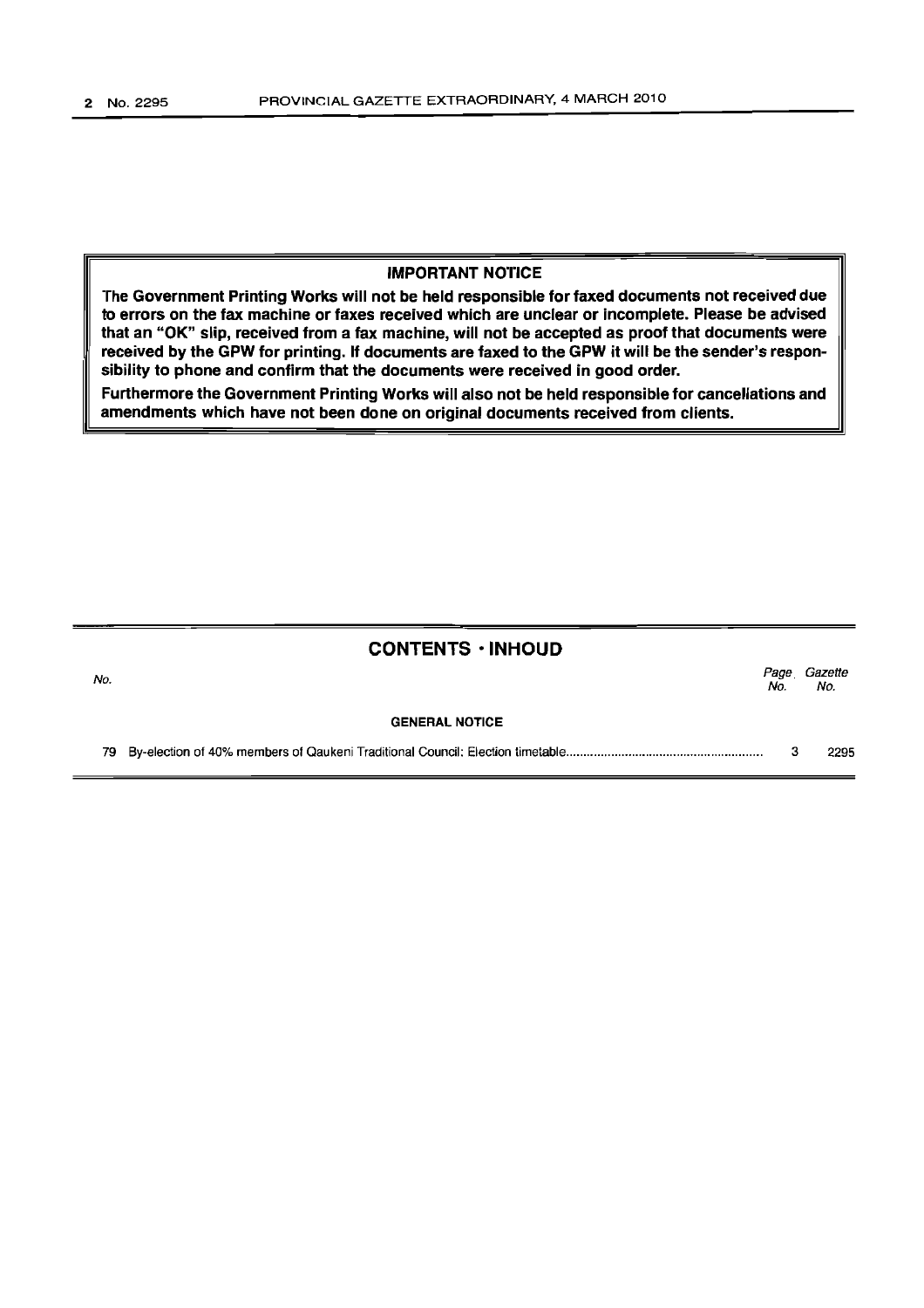### IMPORTANT NOTICE

The Government Printing Works will not be held responsible for faxed documents not received due to errors on the fax machine or faxes received which are unclear or incomplete. Please be advised that an "OK" slip, received from a fax machine, will not be accepted as proof that documents were received by the GPW for printing. If documents are faxed to the GPW it will be the sender's responsibility to phone and confirm that the documents were received in good order.

Furthermore the Government Printing Works will also not be held responsible for cancellations and amendments which have not been done on original documents received from clients.

# CONTENTS • INHOUD No. *Page Gazette*  No. No. GENERAL NOTICE 79 By-election of 40% members of Qaukeni Traditional Council: Election timetable ........................................................ . 3 2295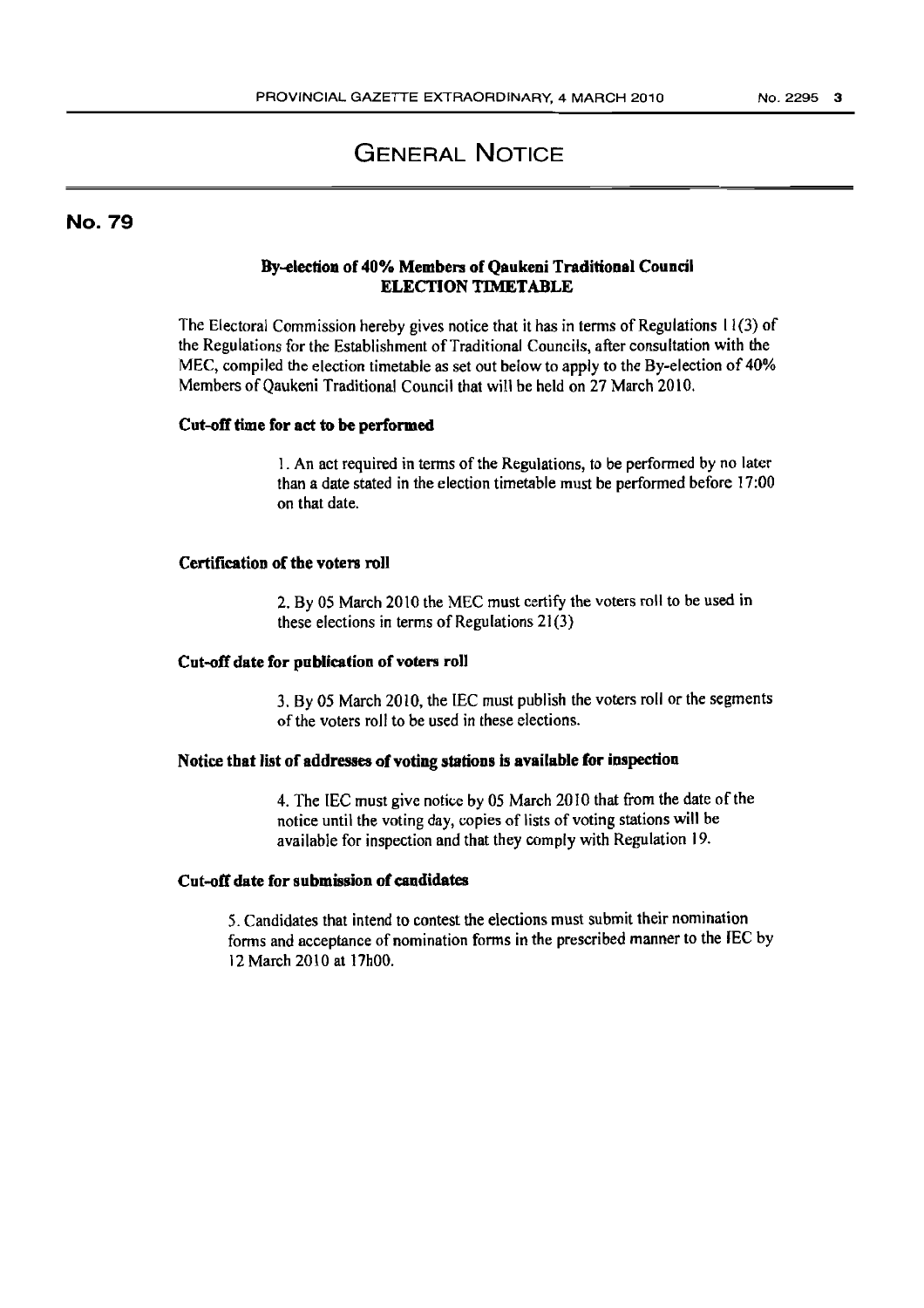# **GENERAL NOTICE**

# No. 79

## By-election of 40% Members of Qaukeni Traditional Council ELECTION TIMETABLE

The Electoral Commission hereby gives notice that it has in terms of Regulations 11(3) of the Regulations for the Establishment of Traditional Councils, after consultation with the MEC, compiled the election timetable as set out below to apply to the By-election of 40% Members of Qaukeni Traditional Council that will be held on 27 March 2010.

#### Cut-off time for act to be performed

1. An act required in terms of the Regulations, to be performed by no later than a date stated in the election timetable must be performed before 17:00 on that date.

### Certification of the voters roll

2. By 05 March 2010 the MEC must certify the voters roll to be used in these elections in terms of Regulations 21(3)

#### Cut-off date for publication of voters roll

3. By 05 March 2010, the lEC must publish the voters roll or the segments of the voters roll to be used in these elections.

#### Notice tbat list of addresses of voting stations is available for inspection

4. The IEC must give notice by 05 March 2010 that from the date of the notice until the voting day, copies of lists of voting stations will be available for inspection and that they comply with Regulation 19.

# Cut-off date for submission of candidates

5. Candidates that intend to contest the elections must submit their nomination forms and acceptance of nomination forms in the prescribed manner to the IEC by 12 March 2010 at 17hOO.